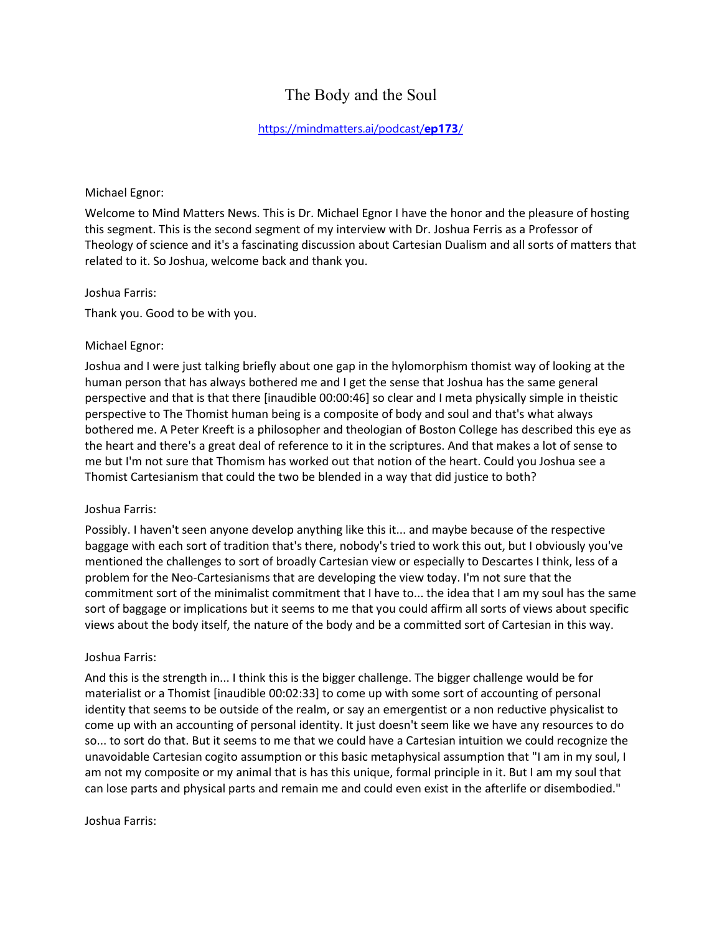# The Body and the Soul

# [https://mindmatters.ai/podcast/](https://mindmatters.ai/podcast/ep173/)**ep173**/

#### Michael Egnor:

Welcome to Mind Matters News. This is Dr. Michael Egnor I have the honor and the pleasure of hosting this segment. This is the second segment of my interview with Dr. Joshua Ferris as a Professor of Theology of science and it's a fascinating discussion about Cartesian Dualism and all sorts of matters that related to it. So Joshua, welcome back and thank you.

#### Joshua Farris:

Thank you. Good to be with you.

#### Michael Egnor:

Joshua and I were just talking briefly about one gap in the hylomorphism thomist way of looking at the human person that has always bothered me and I get the sense that Joshua has the same general perspective and that is that there [inaudible 00:00:46] so clear and I meta physically simple in theistic perspective to The Thomist human being is a composite of body and soul and that's what always bothered me. A Peter Kreeft is a philosopher and theologian of Boston College has described this eye as the heart and there's a great deal of reference to it in the scriptures. And that makes a lot of sense to me but I'm not sure that Thomism has worked out that notion of the heart. Could you Joshua see a Thomist Cartesianism that could the two be blended in a way that did justice to both?

# Joshua Farris:

Possibly. I haven't seen anyone develop anything like this it... and maybe because of the respective baggage with each sort of tradition that's there, nobody's tried to work this out, but I obviously you've mentioned the challenges to sort of broadly Cartesian view or especially to Descartes I think, less of a problem for the Neo-Cartesianisms that are developing the view today. I'm not sure that the commitment sort of the minimalist commitment that I have to... the idea that I am my soul has the same sort of baggage or implications but it seems to me that you could affirm all sorts of views about specific views about the body itself, the nature of the body and be a committed sort of Cartesian in this way.

#### Joshua Farris:

And this is the strength in... I think this is the bigger challenge. The bigger challenge would be for materialist or a Thomist [inaudible 00:02:33] to come up with some sort of accounting of personal identity that seems to be outside of the realm, or say an emergentist or a non reductive physicalist to come up with an accounting of personal identity. It just doesn't seem like we have any resources to do so... to sort do that. But it seems to me that we could have a Cartesian intuition we could recognize the unavoidable Cartesian cogito assumption or this basic metaphysical assumption that "I am in my soul, I am not my composite or my animal that is has this unique, formal principle in it. But I am my soul that can lose parts and physical parts and remain me and could even exist in the afterlife or disembodied."

#### Joshua Farris: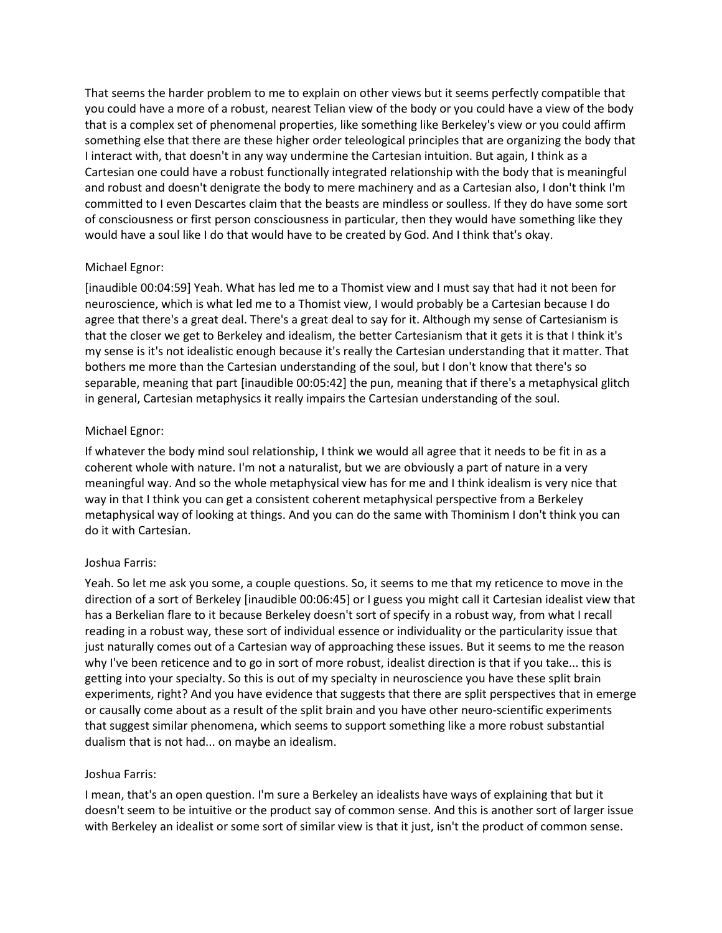That seems the harder problem to me to explain on other views but it seems perfectly compatible that you could have a more of a robust, nearest Telian view of the body or you could have a view of the body that is a complex set of phenomenal properties, like something like Berkeley's view or you could affirm something else that there are these higher order teleological principles that are organizing the body that I interact with, that doesn't in any way undermine the Cartesian intuition. But again, I think as a Cartesian one could have a robust functionally integrated relationship with the body that is meaningful and robust and doesn't denigrate the body to mere machinery and as a Cartesian also, I don't think I'm committed to I even Descartes claim that the beasts are mindless or soulless. If they do have some sort of consciousness or first person consciousness in particular, then they would have something like they would have a soul like I do that would have to be created by God. And I think that's okay.

# Michael Egnor:

[inaudible 00:04:59] Yeah. What has led me to a Thomist view and I must say that had it not been for neuroscience, which is what led me to a Thomist view, I would probably be a Cartesian because I do agree that there's a great deal. There's a great deal to say for it. Although my sense of Cartesianism is that the closer we get to Berkeley and idealism, the better Cartesianism that it gets it is that I think it's my sense is it's not idealistic enough because it's really the Cartesian understanding that it matter. That bothers me more than the Cartesian understanding of the soul, but I don't know that there's so separable, meaning that part [inaudible 00:05:42] the pun, meaning that if there's a metaphysical glitch in general, Cartesian metaphysics it really impairs the Cartesian understanding of the soul.

# Michael Egnor:

If whatever the body mind soul relationship, I think we would all agree that it needs to be fit in as a coherent whole with nature. I'm not a naturalist, but we are obviously a part of nature in a very meaningful way. And so the whole metaphysical view has for me and I think idealism is very nice that way in that I think you can get a consistent coherent metaphysical perspective from a Berkeley metaphysical way of looking at things. And you can do the same with Thominism I don't think you can do it with Cartesian.

# Joshua Farris:

Yeah. So let me ask you some, a couple questions. So, it seems to me that my reticence to move in the direction of a sort of Berkeley [inaudible 00:06:45] or I guess you might call it Cartesian idealist view that has a Berkelian flare to it because Berkeley doesn't sort of specify in a robust way, from what I recall reading in a robust way, these sort of individual essence or individuality or the particularity issue that just naturally comes out of a Cartesian way of approaching these issues. But it seems to me the reason why I've been reticence and to go in sort of more robust, idealist direction is that if you take... this is getting into your specialty. So this is out of my specialty in neuroscience you have these split brain experiments, right? And you have evidence that suggests that there are split perspectives that in emerge or causally come about as a result of the split brain and you have other neuro-scientific experiments that suggest similar phenomena, which seems to support something like a more robust substantial dualism that is not had... on maybe an idealism.

# Joshua Farris:

I mean, that's an open question. I'm sure a Berkeley an idealists have ways of explaining that but it doesn't seem to be intuitive or the product say of common sense. And this is another sort of larger issue with Berkeley an idealist or some sort of similar view is that it just, isn't the product of common sense.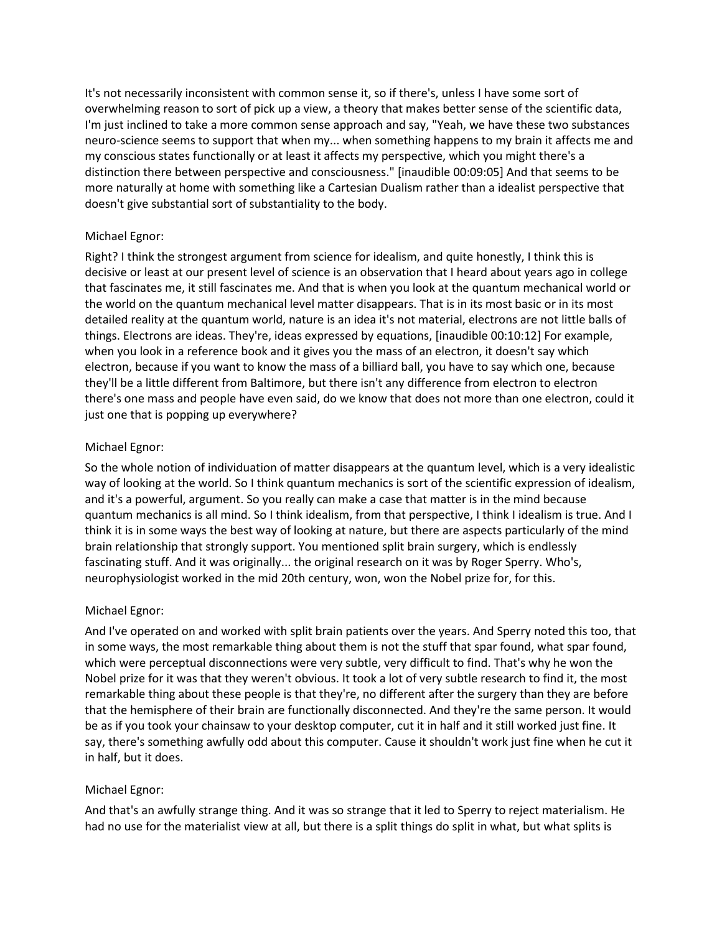It's not necessarily inconsistent with common sense it, so if there's, unless I have some sort of overwhelming reason to sort of pick up a view, a theory that makes better sense of the scientific data, I'm just inclined to take a more common sense approach and say, "Yeah, we have these two substances neuro-science seems to support that when my... when something happens to my brain it affects me and my conscious states functionally or at least it affects my perspective, which you might there's a distinction there between perspective and consciousness." [inaudible 00:09:05] And that seems to be more naturally at home with something like a Cartesian Dualism rather than a idealist perspective that doesn't give substantial sort of substantiality to the body.

# Michael Egnor:

Right? I think the strongest argument from science for idealism, and quite honestly, I think this is decisive or least at our present level of science is an observation that I heard about years ago in college that fascinates me, it still fascinates me. And that is when you look at the quantum mechanical world or the world on the quantum mechanical level matter disappears. That is in its most basic or in its most detailed reality at the quantum world, nature is an idea it's not material, electrons are not little balls of things. Electrons are ideas. They're, ideas expressed by equations, [inaudible 00:10:12] For example, when you look in a reference book and it gives you the mass of an electron, it doesn't say which electron, because if you want to know the mass of a billiard ball, you have to say which one, because they'll be a little different from Baltimore, but there isn't any difference from electron to electron there's one mass and people have even said, do we know that does not more than one electron, could it just one that is popping up everywhere?

# Michael Egnor:

So the whole notion of individuation of matter disappears at the quantum level, which is a very idealistic way of looking at the world. So I think quantum mechanics is sort of the scientific expression of idealism, and it's a powerful, argument. So you really can make a case that matter is in the mind because quantum mechanics is all mind. So I think idealism, from that perspective, I think I idealism is true. And I think it is in some ways the best way of looking at nature, but there are aspects particularly of the mind brain relationship that strongly support. You mentioned split brain surgery, which is endlessly fascinating stuff. And it was originally... the original research on it was by Roger Sperry. Who's, neurophysiologist worked in the mid 20th century, won, won the Nobel prize for, for this.

# Michael Egnor:

And I've operated on and worked with split brain patients over the years. And Sperry noted this too, that in some ways, the most remarkable thing about them is not the stuff that spar found, what spar found, which were perceptual disconnections were very subtle, very difficult to find. That's why he won the Nobel prize for it was that they weren't obvious. It took a lot of very subtle research to find it, the most remarkable thing about these people is that they're, no different after the surgery than they are before that the hemisphere of their brain are functionally disconnected. And they're the same person. It would be as if you took your chainsaw to your desktop computer, cut it in half and it still worked just fine. It say, there's something awfully odd about this computer. Cause it shouldn't work just fine when he cut it in half, but it does.

# Michael Egnor:

And that's an awfully strange thing. And it was so strange that it led to Sperry to reject materialism. He had no use for the materialist view at all, but there is a split things do split in what, but what splits is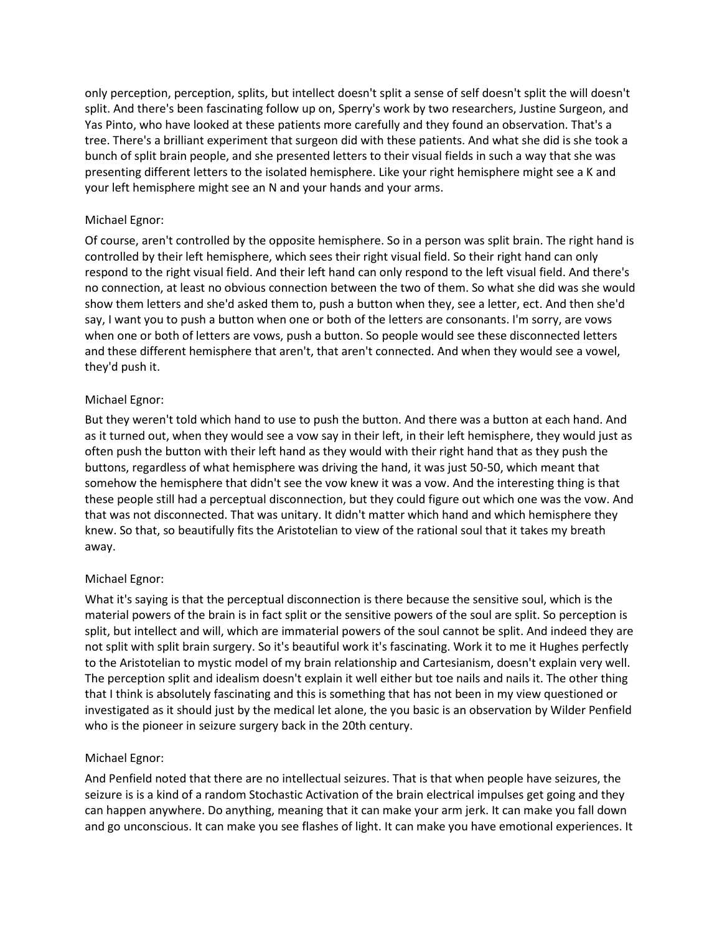only perception, perception, splits, but intellect doesn't split a sense of self doesn't split the will doesn't split. And there's been fascinating follow up on, Sperry's work by two researchers, Justine Surgeon, and Yas Pinto, who have looked at these patients more carefully and they found an observation. That's a tree. There's a brilliant experiment that surgeon did with these patients. And what she did is she took a bunch of split brain people, and she presented letters to their visual fields in such a way that she was presenting different letters to the isolated hemisphere. Like your right hemisphere might see a K and your left hemisphere might see an N and your hands and your arms.

# Michael Egnor:

Of course, aren't controlled by the opposite hemisphere. So in a person was split brain. The right hand is controlled by their left hemisphere, which sees their right visual field. So their right hand can only respond to the right visual field. And their left hand can only respond to the left visual field. And there's no connection, at least no obvious connection between the two of them. So what she did was she would show them letters and she'd asked them to, push a button when they, see a letter, ect. And then she'd say, I want you to push a button when one or both of the letters are consonants. I'm sorry, are vows when one or both of letters are vows, push a button. So people would see these disconnected letters and these different hemisphere that aren't, that aren't connected. And when they would see a vowel, they'd push it.

# Michael Egnor:

But they weren't told which hand to use to push the button. And there was a button at each hand. And as it turned out, when they would see a vow say in their left, in their left hemisphere, they would just as often push the button with their left hand as they would with their right hand that as they push the buttons, regardless of what hemisphere was driving the hand, it was just 50-50, which meant that somehow the hemisphere that didn't see the vow knew it was a vow. And the interesting thing is that these people still had a perceptual disconnection, but they could figure out which one was the vow. And that was not disconnected. That was unitary. It didn't matter which hand and which hemisphere they knew. So that, so beautifully fits the Aristotelian to view of the rational soul that it takes my breath away.

# Michael Egnor:

What it's saying is that the perceptual disconnection is there because the sensitive soul, which is the material powers of the brain is in fact split or the sensitive powers of the soul are split. So perception is split, but intellect and will, which are immaterial powers of the soul cannot be split. And indeed they are not split with split brain surgery. So it's beautiful work it's fascinating. Work it to me it Hughes perfectly to the Aristotelian to mystic model of my brain relationship and Cartesianism, doesn't explain very well. The perception split and idealism doesn't explain it well either but toe nails and nails it. The other thing that I think is absolutely fascinating and this is something that has not been in my view questioned or investigated as it should just by the medical let alone, the you basic is an observation by Wilder Penfield who is the pioneer in seizure surgery back in the 20th century.

# Michael Egnor:

And Penfield noted that there are no intellectual seizures. That is that when people have seizures, the seizure is is a kind of a random Stochastic Activation of the brain electrical impulses get going and they can happen anywhere. Do anything, meaning that it can make your arm jerk. It can make you fall down and go unconscious. It can make you see flashes of light. It can make you have emotional experiences. It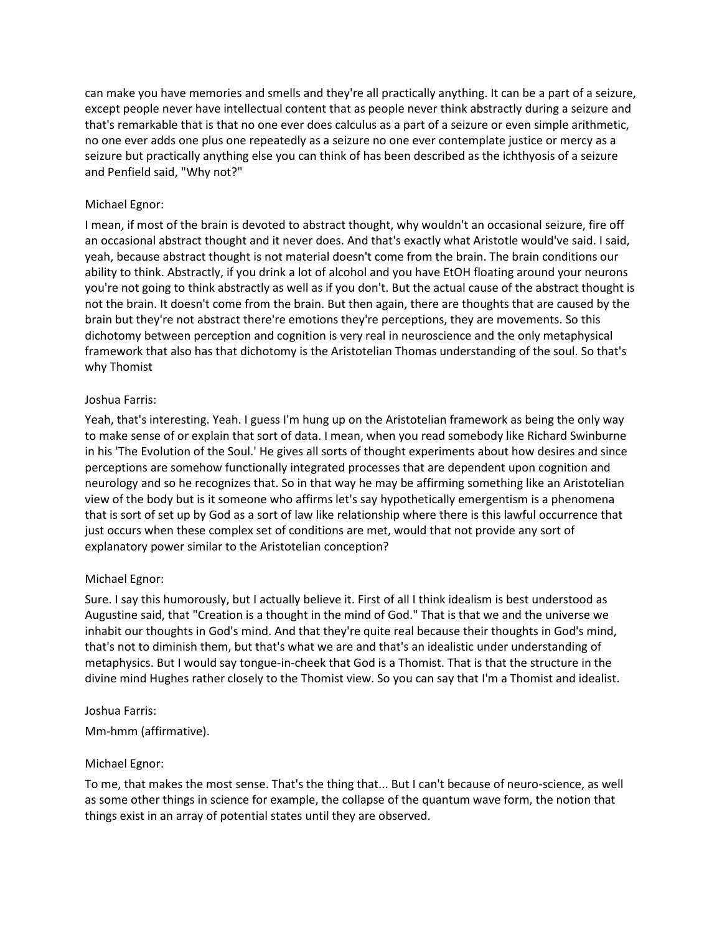can make you have memories and smells and they're all practically anything. It can be a part of a seizure, except people never have intellectual content that as people never think abstractly during a seizure and that's remarkable that is that no one ever does calculus as a part of a seizure or even simple arithmetic, no one ever adds one plus one repeatedly as a seizure no one ever contemplate justice or mercy as a seizure but practically anything else you can think of has been described as the ichthyosis of a seizure and Penfield said, "Why not?"

# Michael Egnor:

I mean, if most of the brain is devoted to abstract thought, why wouldn't an occasional seizure, fire off an occasional abstract thought and it never does. And that's exactly what Aristotle would've said. I said, yeah, because abstract thought is not material doesn't come from the brain. The brain conditions our ability to think. Abstractly, if you drink a lot of alcohol and you have EtOH floating around your neurons you're not going to think abstractly as well as if you don't. But the actual cause of the abstract thought is not the brain. It doesn't come from the brain. But then again, there are thoughts that are caused by the brain but they're not abstract there're emotions they're perceptions, they are movements. So this dichotomy between perception and cognition is very real in neuroscience and the only metaphysical framework that also has that dichotomy is the Aristotelian Thomas understanding of the soul. So that's why Thomist

# Joshua Farris:

Yeah, that's interesting. Yeah. I guess I'm hung up on the Aristotelian framework as being the only way to make sense of or explain that sort of data. I mean, when you read somebody like Richard Swinburne in his 'The Evolution of the Soul.' He gives all sorts of thought experiments about how desires and since perceptions are somehow functionally integrated processes that are dependent upon cognition and neurology and so he recognizes that. So in that way he may be affirming something like an Aristotelian view of the body but is it someone who affirms let's say hypothetically emergentism is a phenomena that is sort of set up by God as a sort of law like relationship where there is this lawful occurrence that just occurs when these complex set of conditions are met, would that not provide any sort of explanatory power similar to the Aristotelian conception?

# Michael Egnor:

Sure. I say this humorously, but I actually believe it. First of all I think idealism is best understood as Augustine said, that "Creation is a thought in the mind of God." That is that we and the universe we inhabit our thoughts in God's mind. And that they're quite real because their thoughts in God's mind, that's not to diminish them, but that's what we are and that's an idealistic under understanding of metaphysics. But I would say tongue-in-cheek that God is a Thomist. That is that the structure in the divine mind Hughes rather closely to the Thomist view. So you can say that I'm a Thomist and idealist.

# Joshua Farris:

Mm-hmm (affirmative).

# Michael Egnor:

To me, that makes the most sense. That's the thing that... But I can't because of neuro-science, as well as some other things in science for example, the collapse of the quantum wave form, the notion that things exist in an array of potential states until they are observed.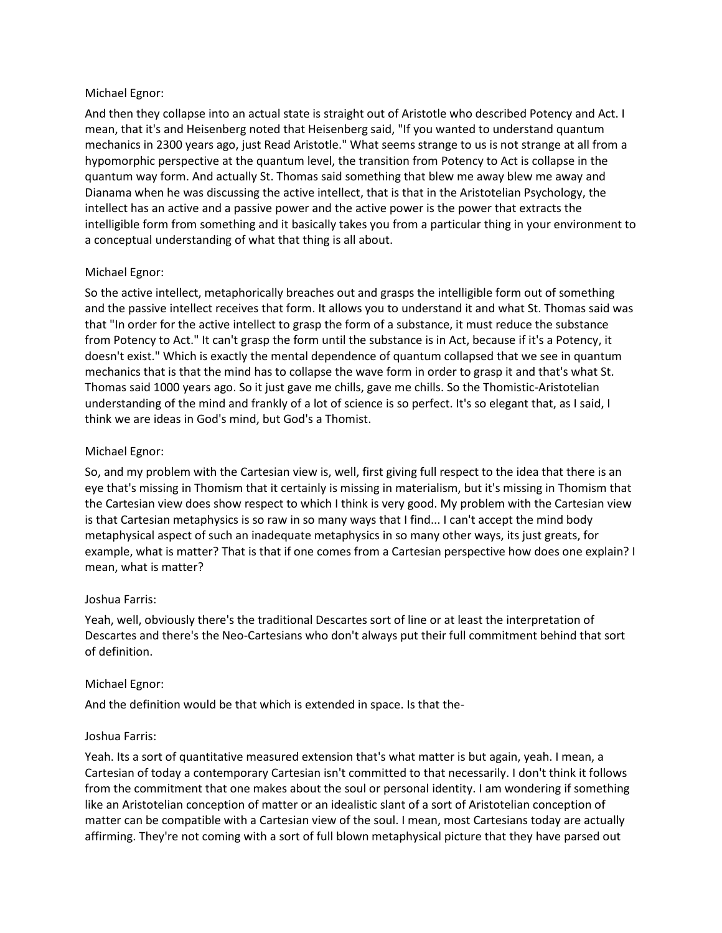# Michael Egnor:

And then they collapse into an actual state is straight out of Aristotle who described Potency and Act. I mean, that it's and Heisenberg noted that Heisenberg said, "If you wanted to understand quantum mechanics in 2300 years ago, just Read Aristotle." What seems strange to us is not strange at all from a hypomorphic perspective at the quantum level, the transition from Potency to Act is collapse in the quantum way form. And actually St. Thomas said something that blew me away blew me away and Dianama when he was discussing the active intellect, that is that in the Aristotelian Psychology, the intellect has an active and a passive power and the active power is the power that extracts the intelligible form from something and it basically takes you from a particular thing in your environment to a conceptual understanding of what that thing is all about.

# Michael Egnor:

So the active intellect, metaphorically breaches out and grasps the intelligible form out of something and the passive intellect receives that form. It allows you to understand it and what St. Thomas said was that "In order for the active intellect to grasp the form of a substance, it must reduce the substance from Potency to Act." It can't grasp the form until the substance is in Act, because if it's a Potency, it doesn't exist." Which is exactly the mental dependence of quantum collapsed that we see in quantum mechanics that is that the mind has to collapse the wave form in order to grasp it and that's what St. Thomas said 1000 years ago. So it just gave me chills, gave me chills. So the Thomistic-Aristotelian understanding of the mind and frankly of a lot of science is so perfect. It's so elegant that, as I said, I think we are ideas in God's mind, but God's a Thomist.

#### Michael Egnor:

So, and my problem with the Cartesian view is, well, first giving full respect to the idea that there is an eye that's missing in Thomism that it certainly is missing in materialism, but it's missing in Thomism that the Cartesian view does show respect to which I think is very good. My problem with the Cartesian view is that Cartesian metaphysics is so raw in so many ways that I find... I can't accept the mind body metaphysical aspect of such an inadequate metaphysics in so many other ways, its just greats, for example, what is matter? That is that if one comes from a Cartesian perspective how does one explain? I mean, what is matter?

# Joshua Farris:

Yeah, well, obviously there's the traditional Descartes sort of line or at least the interpretation of Descartes and there's the Neo-Cartesians who don't always put their full commitment behind that sort of definition.

# Michael Egnor:

And the definition would be that which is extended in space. Is that the-

#### Joshua Farris:

Yeah. Its a sort of quantitative measured extension that's what matter is but again, yeah. I mean, a Cartesian of today a contemporary Cartesian isn't committed to that necessarily. I don't think it follows from the commitment that one makes about the soul or personal identity. I am wondering if something like an Aristotelian conception of matter or an idealistic slant of a sort of Aristotelian conception of matter can be compatible with a Cartesian view of the soul. I mean, most Cartesians today are actually affirming. They're not coming with a sort of full blown metaphysical picture that they have parsed out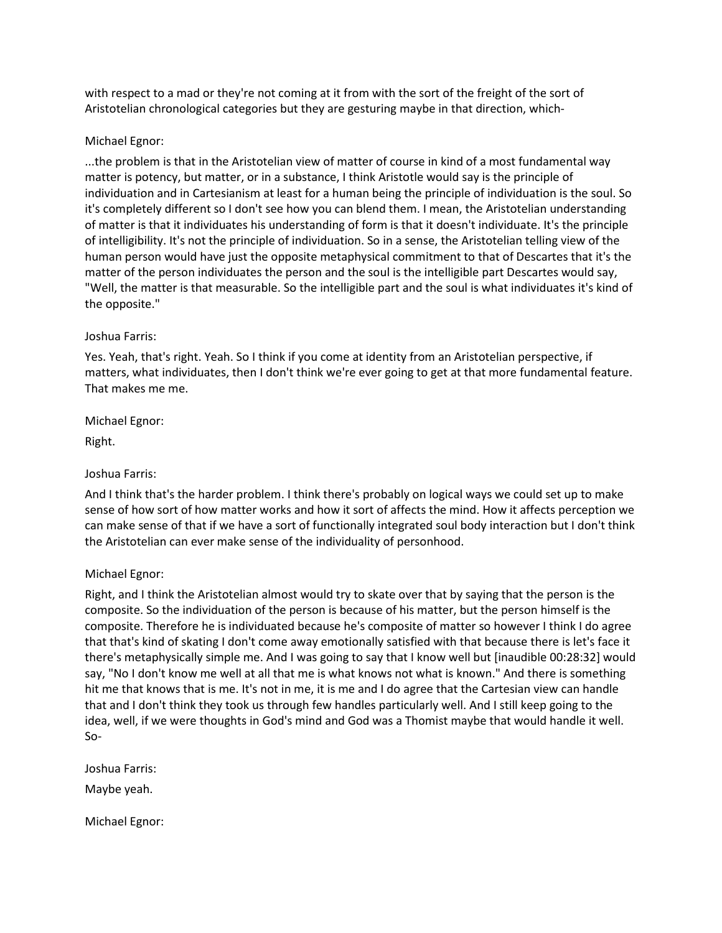with respect to a mad or they're not coming at it from with the sort of the freight of the sort of Aristotelian chronological categories but they are gesturing maybe in that direction, which-

# Michael Egnor:

...the problem is that in the Aristotelian view of matter of course in kind of a most fundamental way matter is potency, but matter, or in a substance, I think Aristotle would say is the principle of individuation and in Cartesianism at least for a human being the principle of individuation is the soul. So it's completely different so I don't see how you can blend them. I mean, the Aristotelian understanding of matter is that it individuates his understanding of form is that it doesn't individuate. It's the principle of intelligibility. It's not the principle of individuation. So in a sense, the Aristotelian telling view of the human person would have just the opposite metaphysical commitment to that of Descartes that it's the matter of the person individuates the person and the soul is the intelligible part Descartes would say, "Well, the matter is that measurable. So the intelligible part and the soul is what individuates it's kind of the opposite."

# Joshua Farris:

Yes. Yeah, that's right. Yeah. So I think if you come at identity from an Aristotelian perspective, if matters, what individuates, then I don't think we're ever going to get at that more fundamental feature. That makes me me.

# Michael Egnor:

Right.

# Joshua Farris:

And I think that's the harder problem. I think there's probably on logical ways we could set up to make sense of how sort of how matter works and how it sort of affects the mind. How it affects perception we can make sense of that if we have a sort of functionally integrated soul body interaction but I don't think the Aristotelian can ever make sense of the individuality of personhood.

# Michael Egnor:

Right, and I think the Aristotelian almost would try to skate over that by saying that the person is the composite. So the individuation of the person is because of his matter, but the person himself is the composite. Therefore he is individuated because he's composite of matter so however I think I do agree that that's kind of skating I don't come away emotionally satisfied with that because there is let's face it there's metaphysically simple me. And I was going to say that I know well but [inaudible 00:28:32] would say, "No I don't know me well at all that me is what knows not what is known." And there is something hit me that knows that is me. It's not in me, it is me and I do agree that the Cartesian view can handle that and I don't think they took us through few handles particularly well. And I still keep going to the idea, well, if we were thoughts in God's mind and God was a Thomist maybe that would handle it well. So-

Joshua Farris: Maybe yeah.

Michael Egnor: